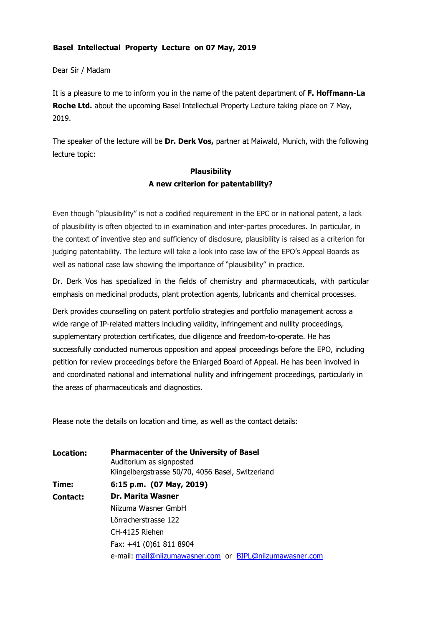## Basel Intellectual Property Lecture on 07 May, 2019

Dear Sir / Madam

It is a pleasure to me to inform you in the name of the patent department of F. Hoffmann-La Roche Ltd. about the upcoming Basel Intellectual Property Lecture taking place on 7 May, 2019.

The speaker of the lecture will be Dr. Derk Vos, partner at Maiwald, Munich, with the following lecture topic:

## **Plausibility** A new criterion for patentability?

Even though "plausibility" is not a codified requirement in the EPC or in national patent, a lack of plausibility is often objected to in examination and inter-partes procedures. In particular, in the context of inventive step and sufficiency of disclosure, plausibility is raised as a criterion for judging patentability. The lecture will take a look into case law of the EPO's Appeal Boards as well as national case law showing the importance of "plausibility" in practice.

Dr. Derk Vos has specialized in the fields of chemistry and pharmaceuticals, with particular emphasis on medicinal products, plant protection agents, lubricants and chemical processes.

Derk provides counselling on patent portfolio strategies and portfolio management across a wide range of IP-related matters including validity, infringement and nullity proceedings, supplementary protection certificates, due diligence and freedom-to-operate. He has successfully conducted numerous opposition and appeal proceedings before the EPO, including petition for review proceedings before the Enlarged Board of Appeal. He has been involved in and coordinated national and international nullity and infringement proceedings, particularly in the areas of pharmaceuticals and diagnostics.

Please note the details on location and time, as well as the contact details:

| Location: | <b>Pharmacenter of the University of Basel</b><br>Auditorium as signposted<br>Klingelbergstrasse 50/70, 4056 Basel, Switzerland |
|-----------|---------------------------------------------------------------------------------------------------------------------------------|
| Time:     | 6:15 p.m. (07 May, 2019)                                                                                                        |
| Contact:  | Dr. Marita Wasner                                                                                                               |
|           | Niizuma Wasner GmbH                                                                                                             |
|           | Lörracherstrasse 122                                                                                                            |
|           | CH-4125 Riehen                                                                                                                  |
|           | Fax: +41 (0)61 811 8904                                                                                                         |
|           | e-mail: mail@niizumawasner.com or BIPL@niizumawasner.com                                                                        |